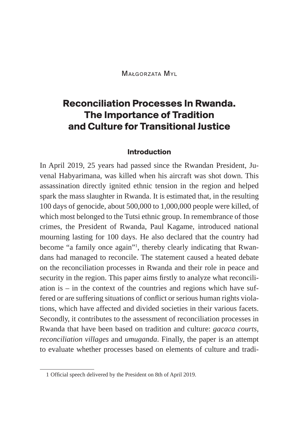Małgorzata Myl

# **Reconciliation Processes In Rwanda. The Importance of Tradition and Culture for Transitional Justice**

#### **Introduction**

In April 2019, 25 years had passed since the Rwandan President, Juvenal Habyarimana, was killed when his aircraft was shot down. This assassination directly ignited ethnic tension in the region and helped spark the mass slaughter in Rwanda. It is estimated that, in the resulting 100 days of genocide, about 500,000 to 1,000,000 people were killed, of which most belonged to the Tutsi ethnic group. In remembrance of those crimes, the President of Rwanda, Paul Kagame, introduced national mourning lasting for 100 days. He also declared that the country had become "a family once again"<sup>1</sup>, thereby clearly indicating that Rwandans had managed to reconcile. The statement caused a heated debate on the reconciliation processes in Rwanda and their role in peace and security in the region. This paper aims firstly to analyze what reconciliation is  $-$  in the context of the countries and regions which have suffered or are suffering situations of conflict or serious human rights violations, which have affected and divided societies in their various facets. Secondly, it contributes to the assessment of reconciliation processes in Rwanda that have been based on tradition and culture: *gacaca courts, reconciliation villages* and *umuganda*. Finally, the paper is an attempt to evaluate whether processes based on elements of culture and tradi-

<sup>1</sup> Official speech delivered by the President on 8th of April 2019.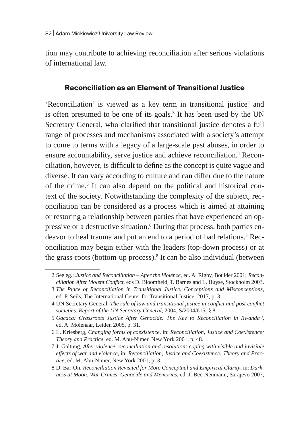tion may contribute to achieving reconciliation after serious violations of international law.

#### **Reconciliation as an Element of Transitional Justice**

'Reconciliation' is viewed as a key term in transitional justice<sup>2</sup> and is often presumed to be one of its goals. $3$  It has been used by the UN Secretary General, who clarified that transitional justice denotes a full range of processes and mechanisms associated with a society's attempt to come to terms with a legacy of a large-scale past abuses, in order to ensure accountability, serve justice and achieve reconciliation.<sup>4</sup> Reconciliation, however, is difficult to define as the concept is quite vague and diverse. It can vary according to culture and can differ due to the nature of the crime.<sup>5</sup> It can also depend on the political and historical context of the society. Notwithstanding the complexity of the subject, reconciliation can be considered as a process which is aimed at attaining or restoring a relationship between parties that have experienced an oppressive or a destructive situation.<sup>6</sup> During that process, both parties endeavor to heal trauma and put an end to a period of bad relations.7 Reconciliation may begin either with the leaders (top-down process) or at the grass-roots (bottom-up process).<sup>8</sup> It can be also individual (between

<sup>2</sup> See eg.: *Justice and Reconciliation – After the Violence*, ed. A. Rigby, Boulder 2001; *Reconciliation After Violent Conflict*, eds D. Bloomfield, T. Barnes and L. Huyse, Stockholm 2003.

<sup>3</sup> *The Place of Reconciliation in Transitional Justice. Conceptions and Misconceptions*, ed. P. Seils, The International Center for Transitional Justice, 2017, p. 3.

<sup>4</sup> UN Secretary General, *The rule of law and transitional justice in conflict and post conflict societies. Report of the UN Secretary General*, 2004, S/2004/615, § 8.

<sup>5</sup> *Gacaca: Grassroots Justice After Genocide. The Key to Reconciliation in Rwanda?*, ed. A. Molenaar, Leiden 2005, p. 31.

<sup>6</sup> L. Kriesberg, *Changing forms of coexistence*, in: *Reconciliation, Justice and Coexistence: Theory and Practice*, ed. M. Abu-Nimer, New York 2001, p. 48.

<sup>7</sup> J. Galtung, *After violence, reconciliation and resolution: coping with visible and invisible effects of war and violence*, in: *Reconciliation, Justice and Coexistence: Theory and Practice*, ed. M. Abu-Nimer, New York 2001, p. 3.

<sup>8</sup> D. Bar-On, *Reconciliation Revisited for More Conceptual and Empirical Clarity*, in: *Darkness at Moon. War Crimes, Genocide and Memories*, ed. J. Bec-Neumann, Sarajevo 2007,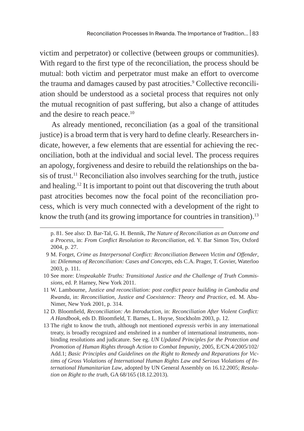victim and perpetrator) or collective (between groups or communities). With regard to the first type of the reconciliation, the process should be mutual: both victim and perpetrator must make an effort to overcome the trauma and damages caused by past atrocities.<sup>9</sup> Collective reconciliation should be understood as a societal process that requires not only the mutual recognition of past suffering, but also a change of attitudes and the desire to reach peace.<sup>10</sup>

As already mentioned, reconciliation (as a goal of the transitional justice) is a broad term that is very hard to define clearly. Researchers indicate, however, a few elements that are essential for achieving the reconciliation, both at the individual and social level. The process requires an apology, forgiveness and desire to rebuild the relationships on the basis of trust.<sup>11</sup> Reconciliation also involves searching for the truth, justice and healing.12 It is important to point out that discovering the truth about past atrocities becomes now the focal point of the reconciliation process, which is very much connected with a development of the right to know the truth (and its growing importance for countries in transition). $13$ 

- 10 See more: *Unspeakable Truths: Transitional Justice and the Challenge of Truth Commissions*, ed. P. Harney, New York 2011.
- 11 W. Lambourne, *Justice and reconciliation: post conflict peace building in Cambodia and Rwanda*, in: *Reconciliation, Justice and Coexistence: Theory and Practice*, ed. M. Abu-Nimer, New York 2001, p. 314.
- 12 D. Bloomfield, *Reconciliation: An Introduction*, in: *Reconciliation After Violent Conflict: A Handbook*, eds D. Bloomfield, T. Barnes, L. Huyse, Stockholm 2003, p. 12.
- 13 The right to know the truth, although not mentioned *expressis verbis* in any international treaty, is broadly recognized and enshrined in a number of international instruments, nonbinding resolutions and judicature. See eg. *UN Updated Principles for the Protection and Promotion of Human Rights through Action to Combat Impunity*, 2005, E/CN.4/2005/102/ Add.1; *Basic Principles and Guidelines on the Right to Remedy and Reparations for Victims of Gross Violations of International Human Rights Law and Serious Violations of International Humanitarian Law*, adopted by UN General Assembly on 16.12.2005; *Resolution on Right to the truth*, GA 68/165 (18.12.2013).

p. 81. See also: D. Bar-Tal, G. H. Bennik, *The Nature of Reconciliation as an Outcome and a Process*, in: *From Conflict Resolution to Reconciliation,* ed. Y. Bar Simon Tov, Oxford 2004, p. 27.

<sup>9</sup> M. Forget, *Crime as Interpersonal Conflict: Reconciliation Between Victim and Offender*, in: *Dilemmas of Reconciliation: Cases and Concepts*, eds C.A. Prager, T. Govier, Waterloo 2003, p. 111.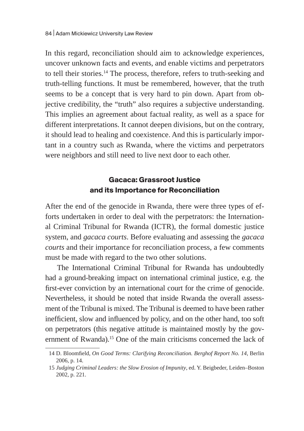In this regard, reconciliation should aim to acknowledge experiences, uncover unknown facts and events, and enable victims and perpetrators to tell their stories.<sup>14</sup> The process, therefore, refers to truth-seeking and truth-telling functions. It must be remembered, however, that the truth seems to be a concept that is very hard to pin down. Apart from objective credibility, the "truth" also requires a subjective understanding. This implies an agreement about factual reality, as well as a space for different interpretations. It cannot deepen divisions, but on the contrary, it should lead to healing and coexistence. And this is particularly important in a country such as Rwanda, where the victims and perpetrators were neighbors and still need to live next door to each other.

### **Gacaca: Grassroot Justice and its Importance for Reconciliation**

After the end of the genocide in Rwanda, there were three types of efforts undertaken in order to deal with the perpetrators: the International Criminal Tribunal for Rwanda (ICTR), the formal domestic justice system, and *gacaca courts*. Before evaluating and assessing the *gacaca courts* and their importance for reconciliation process*,* a few comments must be made with regard to the two other solutions.

The International Criminal Tribunal for Rwanda has undoubtedly had a ground-breaking impact on international criminal justice, e.g. the first-ever conviction by an international court for the crime of genocide. Nevertheless, it should be noted that inside Rwanda the overall assessment of the Tribunal is mixed. The Tribunal is deemed to have been rather inefficient, slow and influenced by policy, and on the other hand, too soft on perpetrators (this negative attitude is maintained mostly by the government of Rwanda).<sup>15</sup> One of the main criticisms concerned the lack of

<sup>14</sup> D. Bloomfield, *On Good Terms: Clarifying Reconciliation. Berghof Report No. 14*, Berlin 2006, p. 14.

<sup>15</sup> *Judging Criminal Leaders: the Slow Erosion of Impunity*, ed. Y. Beigbeder, Leiden–Boston 2002, p. 221.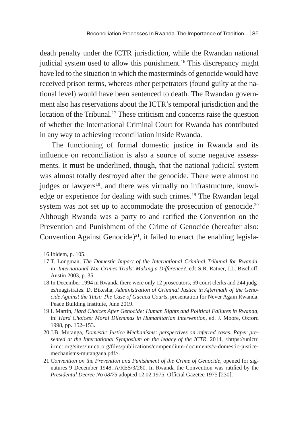death penalty under the ICTR jurisdiction, while the Rwandan national judicial system used to allow this punishment.<sup>16</sup> This discrepancy might have led to the situation in which the masterminds of genocide would have received prison terms, whereas other perpetrators (found guilty at the national level) would have been sentenced to death. The Rwandan government also has reservations about the ICTR's temporal jurisdiction and the location of the Tribunal.<sup>17</sup> These criticism and concerns raise the question of whether the International Criminal Court for Rwanda has contributed in any way to achieving reconciliation inside Rwanda.

The functioning of formal domestic justice in Rwanda and its influence on reconciliation is also a source of some negative assessments. It must be underlined, though, that the national judicial system was almost totally destroyed after the genocide. There were almost no judges or lawyers<sup>18</sup>, and there was virtually no infrastructure, knowledge or experience for dealing with such crimes.<sup>19</sup> The Rwandan legal system was not set up to accommodate the prosecution of genocide.<sup>20</sup> Although Rwanda was a party to and ratified the Convention on the Prevention and Punishment of the Crime of Genocide (hereafter also: Convention Against Genocide)<sup>21</sup>, it failed to enact the enabling legisla-

<sup>16</sup> Ibidem, p. 105.

<sup>17</sup> T. Longman, *The Domestic Impact of the International Criminal Tribunal for Rwanda*, in: *International War Crimes Trials: Making a Difference?*, eds S.R. Ratner, J.L. Bischoff, Austin 2003, p. 35.

<sup>18</sup> In December 1994 in Rwanda there were only 12 prosecutors, 59 court clerks and 244 judges/magistrates. D. Bikesha, *Administration of Criminal Justice in Aftermath of the Genocide Against the Tutsi: The Case of Gacaca Courts,* presentation for Never Again Rwanda, Peace Building Institute, June 2019.

<sup>19</sup> I. Martin, *Hard Choices After Genocide: Human Rights and Political Failures in Rwanda*, in: *Hard Choices: Moral Dilemmas in Humanitarian Intervention*, ed. J. Moore, Oxford 1998, pp. 152–153.

<sup>20</sup> J.B. Mutanga, *Domestic Justice Mechanisms: perspectives on referred cases. Paper presented at the International Symposium on the legacy of the ICTR,* 2014, <https://unictr. irmct.org/sites/unictr.org/files/publications/compendium-documents/v-domestic-justicemechanisms-mutangana.pdf>.

<sup>21</sup> *Convention on the Prevention and Punishment of the Crime of Genocide*, opened for signatures 9 December 1948, A/RES/3/260. In Rwanda the Convention was ratified by the *Presidental Decree No 08/75* adopted 12.02.1975, Official Gazetee 1975 [230].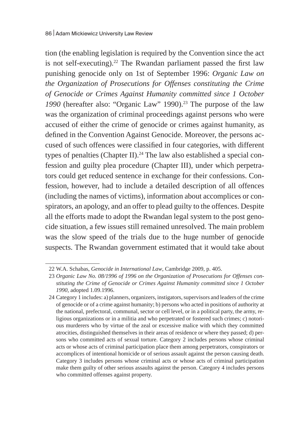tion (the enabling legislation is required by the Convention since the act is not self-executing).<sup>22</sup> The Rwandan parliament passed the first law punishing genocide only on 1st of September 1996: *Organic Law on the Organization of Prosecutions for Offenses constituting the Crime of Genocide or Crimes Against Humanity committed since 1 October*  1990 (hereafter also: "Organic Law" 1990).<sup>23</sup> The purpose of the law was the organization of criminal proceedings against persons who were accused of either the crime of genocide or crimes against humanity, as defined in the Convention Against Genocide. Moreover, the persons accused of such offences were classified in four categories, with different types of penalties (Chapter II).<sup>24</sup> The law also established a special confession and guilty plea procedure (Chapter III), under which perpetrators could get reduced sentence in exchange for their confessions. Confession, however, had to include a detailed description of all offences (including the names of victims), information about accomplices or conspirators, an apology, and an offer to plead guilty to the offences. Despite all the efforts made to adopt the Rwandan legal system to the post genocide situation, a few issues still remained unresolved. The main problem was the slow speed of the trials due to the huge number of genocide suspects. The Rwandan government estimated that it would take about

<sup>22</sup> W.A. Schabas, *Genocide in International Law*, Cambridge 2009, p. 405.

<sup>23</sup> *Organic Law No. 08/1996 of 1996 on the Organization of Prosecutions for Offenses constituting the Crime of Genocide or Crimes Against Humanity committed since 1 October 1990*, adopted 1.09.1996.

<sup>24</sup> Category 1 includes: a) planners, organizers, instigators, supervisors and leaders of the crime of genocide or of a crime against humanity; b) persons who acted in positions of authority at the national, prefectoral, communal, sector or cell level, or in a political party, the army, religious organizations or in a militia and who perpetrated or fostered such crimes; c) notorious murderers who by virtue of the zeal or excessive malice with which they committed atrocities, distinguished themselves in their areas of residence or where they passed; d) persons who committed acts of sexual torture. Category 2 includes persons whose criminal acts or whose acts of criminal participation place them among perpetrators, conspirators or accomplices of intentional homicide or of serious assault against the person causing death. Category 3 includes persons whose criminal acts or whose acts of criminal participation make them guilty of other serious assaults against the person. Category 4 includes persons who committed offenses against property.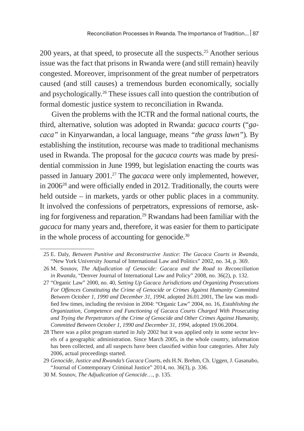200 years, at that speed, to prosecute all the suspects.<sup>25</sup> Another serious issue was the fact that prisons in Rwanda were (and still remain) heavily congested. Moreover, imprisonment of the great number of perpetrators caused (and still causes) a tremendous burden economically, socially and psychologically.26 These issues call into question the contribution of formal domestic justice system to reconciliation in Rwanda.

Given the problems with the ICTR and the formal national courts, the third, alternative, solution was adopted in Rwanda: *gacaca courts* ("*gacaca"* in Kinyarwandan, a local language, means *"the grass lawn"*)*.* By establishing the institution, recourse was made to traditional mechanisms used in Rwanda. The proposal for the *gacaca courts* was made by presidential commission in June 1999, but legislation enacting the courts was passed in January 2001.27 The *gacaca* were only implemented, however, in 2006<sup>28</sup> and were officially ended in 2012. Traditionally, the courts were held outside – in markets, yards or other public places in a community. It involved the confessions of perpetrators, expressions of remorse, asking for forgiveness and reparation.29 Rwandans had been familiar with the *gacaca* for many years and, therefore, it was easier for them to participate in the whole process of accounting for genocide.<sup>30</sup>

<sup>25</sup> E. Daly, *Between Punitive and Reconstructive Justice: The Gacaca Courts in Rwanda*, "New York University Journal of International Law and Politics" 2002, no. 34, p. 369.

<sup>26</sup> M. Sosnov, *The Adjudication of Genocide: Gacaca and the Road to Reconciliation in Rwanda*, "Denver Journal of International Law and Policy" 2008, no. 36(2), p. 132.

<sup>27</sup> "Organic Law" 2000, no. 40, *Setting Up Gacaca Jurisdictions and Organizing Prosecutions For Offences Constituting the Crime of Genocide or Crimes Against Humanity Committed Between October 1, 1990 and December 31, 1994*, adopted 26.01.2001, The law was modified few times, including the revision in 2004: "Organic Law" 2004, no. 16, *Establishing the Organization, Competence and Functioning of Gacaca Courts Charged With Prosecuting and Trying the Perpetrators of the Crime of Genocide and Other Crimes Against Humanity, Committed Between October 1, 1990 and December 31, 1994*, adopted 19.06.2004.

<sup>28</sup> There was a pilot program started in July 2002 but it was applied only in some sector levels of a geographic administration. Since March 2005, in the whole country, information has been collected, and all suspects have been classified within four categories. After July 2006, actual proceedings started.

<sup>29</sup> *Genocide, Justice and Rwanda's Gacaca Courts*, eds H.N. Brehm, Ch. Uggen, J. Gasanabo, "Journal of Contemporary Criminal Justice" 2014, no. 36(3), p. 336.

<sup>30</sup> M. Sosnov, *The Adjudication of Genocide*…, p. 135.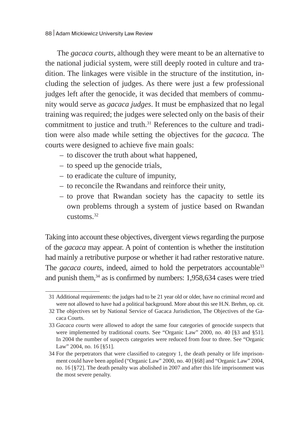The *gacaca courts,* although they were meant to be an alternative to the national judicial system, were still deeply rooted in culture and tradition. The linkages were visible in the structure of the institution, including the selection of judges. As there were just a few professional judges left after the genocide, it was decided that members of community would serve as *gacaca judges*. It must be emphasized that no legal training was required; the judges were selected only on the basis of their commitment to justice and truth.<sup>31</sup> References to the culture and tradition were also made while setting the objectives for the *gacaca.* The courts were designed to achieve five main goals:

- to discover the truth about what happened,
- to speed up the genocide trials,
- to eradicate the culture of impunity,
- to reconcile the Rwandans and reinforce their unity,
- to prove that Rwandan society has the capacity to settle its own problems through a system of justice based on Rwandan customs.32

Taking into account these objectives, divergent views regarding the purpose of the *gacaca* may appear. A point of contention is whether the institution had mainly a retributive purpose or whether it had rather restorative nature. The *gacaca courts*, indeed, aimed to hold the perpetrators accountable<sup>33</sup> and punish them, $34$  as is confirmed by numbers: 1,958,634 cases were tried

<sup>31</sup> Additional requirements: the judges had to be 21 year old or older, have no criminal record and were not allowed to have had a political background. More about this see H.N. Brehm, op. cit.

<sup>32</sup> The objectives set by National Service of Gacaca Jurisdiction, The Objectives of the Gacaca Courts.

<sup>33</sup> *Gacaca courts* were allowed to adopt the same four categories of genocide suspects that were implemented by traditional courts. See "Organic Law" 2000, no. 40 [§3 and §51]. In 2004 the number of suspects categories were reduced from four to three. See "Organic Law" 2004, no. 16 [§51].

<sup>34</sup> For the perpetrators that were classified to category 1, the death penalty or life imprisonment could have been applied ("Organic Law" 2000, no. 40 [§68] and "Organic Law" 2004, no. 16 [§72]. The death penalty was abolished in 2007 and after this life imprisonment was the most severe penalty.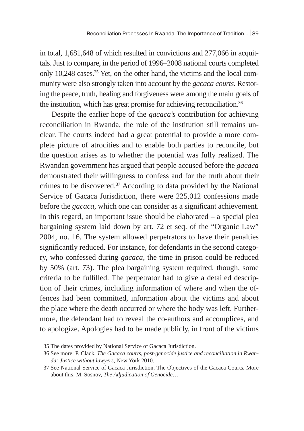in total, 1,681,648 of which resulted in convictions and 277,066 in acquittals. Just to compare, in the period of 1996–2008 national courts completed only 10,248 cases.<sup>35</sup> Yet, on the other hand, the victims and the local community were also strongly taken into account by the *gacaca courts*. Restoring the peace, truth, healing and forgiveness were among the main goals of the institution, which has great promise for achieving reconciliation.<sup>36</sup>

Despite the earlier hope of the *gacaca's* contribution for achieving reconciliation in Rwanda, the role of the institution still remains unclear. The courts indeed had a great potential to provide a more complete picture of atrocities and to enable both parties to reconcile, but the question arises as to whether the potential was fully realized. The Rwandan government has argued that people accused before the *gacaca*  demonstrated their willingness to confess and for the truth about their crimes to be discovered.37 According to data provided by the National Service of Gacaca Jurisdiction, there were 225,012 confessions made before the *gacaca*, which one can consider as a significant achievement. In this regard, an important issue should be elaborated  $-$  a special plea bargaining system laid down by art. 72 et seq. of the "Organic Law" 2004, no. 16. The system allowed perpetrators to have their penalties significantly reduced. For instance, for defendants in the second category, who confessed during *gacaca*, the time in prison could be reduced by 50% (art. 73). The plea bargaining system required, though, some criteria to be fulfilled. The perpetrator had to give a detailed description of their crimes, including information of where and when the offences had been committed, information about the victims and about the place where the death occurred or where the body was left. Furthermore, the defendant had to reveal the co-authors and accomplices, and to apologize. Apologies had to be made publicly, in front of the victims

<sup>35</sup> The dates provided by National Service of Gacaca Jurisdiction.

<sup>36</sup> See more: P. Clack, *The Gacaca courts, post-genocide justice and reconciliation in Rwanda: Justice without lawyers*, New York 2010.

<sup>37</sup> See National Service of Gacaca Jurisdiction, The Objectives of the Gacaca Courts. More about this: M. Sosnov, *The Adjudication of Genocide*…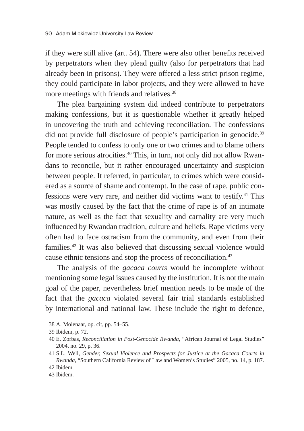if they were still alive (art. 54). There were also other benefits received by perpetrators when they plead guilty (also for perpetrators that had already been in prisons). They were offered a less strict prison regime, they could participate in labor projects, and they were allowed to have more meetings with friends and relatives.<sup>38</sup>

The plea bargaining system did indeed contribute to perpetrators making confessions, but it is questionable whether it greatly helped in uncovering the truth and achieving reconciliation. The confessions did not provide full disclosure of people's participation in genocide.<sup>39</sup> People tended to confess to only one or two crimes and to blame others for more serious atrocities.<sup>40</sup> This, in turn, not only did not allow Rwandans to reconcile, but it rather encouraged uncertainty and suspicion between people. It referred, in particular, to crimes which were considered as a source of shame and contempt. In the case of rape, public confessions were very rare, and neither did victims want to testify.<sup>41</sup> This was mostly caused by the fact that the crime of rape is of an intimate nature, as well as the fact that sexuality and carnality are very much influenced by Rwandan tradition, culture and beliefs. Rape victims very often had to face ostracism from the community, and even from their families.42 It was also believed that discussing sexual violence would cause ethnic tensions and stop the process of reconciliation.43

The analysis of the *gacaca courts* would be incomplete without mentioning some legal issues caused by the institution. It is not the main goal of the paper, nevertheless brief mention needs to be made of the fact that the *gacaca* violated several fair trial standards established by international and national law. These include the right to defence,

<sup>38</sup> A. Molenaar, op. cit, pp. 54–55.

<sup>39</sup> Ibidem, p. 72.

<sup>40</sup> E. Zorbas, *Reconciliation in Post-Genocide Rwanda*, "African Journal of Legal Studies" 2004, no. 29, p. 36.

<sup>41</sup> S.L. Well, *Gender, Sexual Violence and Prospects for Justice at the Gacaca Courts in Rwanda*, "Southern California Review of Law and Women's Studies" 2005, no. 14, p. 187. 42 Ibidem.

<sup>43</sup> Ibidem.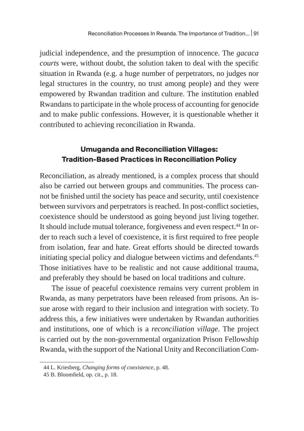judicial independence, and the presumption of innocence. The *gacaca courts* were, without doubt, the solution taken to deal with the specific situation in Rwanda (e.g. a huge number of perpetrators, no judges nor legal structures in the country, no trust among people) and they were empowered by Rwandan tradition and culture. The institution enabled Rwandans to participate in the whole process of accounting for genocide and to make public confessions. However, it is questionable whether it contributed to achieving reconciliation in Rwanda.

### **Umuganda and Reconciliation Villages: Tradition-Based Practices in Reconciliation Policy**

Reconciliation, as already mentioned, is a complex process that should also be carried out between groups and communities. The process cannot be finished until the society has peace and security, until coexistence between survivors and perpetrators is reached. In post-conflict societies, coexistence should be understood as going beyond just living together. It should include mutual tolerance, forgiveness and even respect.<sup>44</sup> In order to reach such a level of coexistence, it is first required to free people from isolation, fear and hate. Great efforts should be directed towards initiating special policy and dialogue between victims and defendants.<sup>45</sup> Those initiatives have to be realistic and not cause additional trauma, and preferably they should be based on local traditions and culture.

The issue of peaceful coexistence remains very current problem in Rwanda, as many perpetrators have been released from prisons. An issue arose with regard to their inclusion and integration with society. To address this, a few initiatives were undertaken by Rwandan authorities and institutions, one of which is a *reconciliation village*. The project is carried out by the non-governmental organization Prison Fellowship Rwanda, with the support of the National Unity and Reconciliation Com-

<sup>44</sup> L. Kriesberg, *Changing forms of coexistence*, p. 48.

<sup>45</sup> B. Bloomfield, op. cit., p. 18.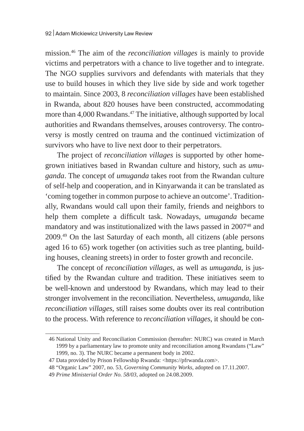mission.46 The aim of the *reconciliation villages* is mainly to provide victims and perpetrators with a chance to live together and to integrate. The NGO supplies survivors and defendants with materials that they use to build houses in which they live side by side and work together to maintain. Since 2003, 8 *reconciliation villages* have been established in Rwanda, about 820 houses have been constructed, accommodating more than 4,000 Rwandans.<sup>47</sup> The initiative, although supported by local authorities and Rwandans themselves, arouses controversy. The controversy is mostly centred on trauma and the continued victimization of survivors who have to live next door to their perpetrators.

The project of *reconciliation villages* is supported by other homegrown initiatives based in Rwandan culture and history, such as *umuganda*. The concept of *umuganda* takes root from the Rwandan culture of self-help and cooperation, and in Kinyarwanda it can be translated as 'coming together in common purpose to achieve an outcome'. Traditionally, Rwandans would call upon their family, friends and neighbors to help them complete a difficult task. Nowadays, *umuganda* became mandatory and was institutionalized with the laws passed in 2007<sup>48</sup> and 2009.49 On the last Saturday of each month, all citizens (able persons aged 16 to 65) work together (on activities such as tree planting, building houses, cleaning streets) in order to foster growth and reconcile.

The concept of *reconciliation villages*, as well as *umuganda,* is justified by the Rwandan culture and tradition. These initiatives seem to be well-known and understood by Rwandans, which may lead to their stronger involvement in the reconciliation. Nevertheless, *umuganda,* like *reconciliation villages*, still raises some doubts over its real contribution to the process. With reference to *reconciliation villages*, it should be con-

<sup>46</sup> National Unity and Reconciliation Commission (hereafter: NURC) was created in March 1999 by a parliamentary law to promote unity and reconciliation among Rwandans ("Law" 1999, no. 3). The NURC became a permanent body in 2002.

<sup>47</sup> Data provided by Prison Fellowship Rwanda: <https://pfrwanda.com>.

<sup>48</sup> "Organic Law" 2007, no. 53, *Governing Community Works*, adopted on 17.11.2007.

<sup>49</sup> *Prime Ministerial Order No. 58/03*, adopted on 24.08.2009.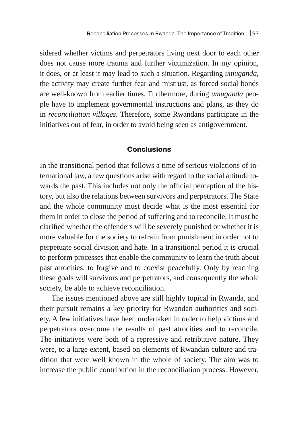sidered whether victims and perpetrators living next door to each other does not cause more trauma and further victimization. In my opinion, it does, or at least it may lead to such a situation. Regarding *umuganda,*  the activity may create further fear and mistrust, as forced social bonds are well-known from earlier times. Furthermore, during *umuganda* people have to implement governmental instructions and plans, as they do in *reconciliation villages*. Therefore, some Rwandans participate in the initiatives out of fear, in order to avoid being seen as antigovernment.

#### **Conclusions**

In the transitional period that follows a time of serious violations of international law, a few questions arise with regard to the social attitude towards the past. This includes not only the official perception of the history, but also the relations between survivors and perpetrators. The State and the whole community must decide what is the most essential for them in order to close the period of suffering and to reconcile. It must be clarified whether the offenders will be severely punished or whether it is more valuable for the society to refrain from punishment in order not to perpetuate social division and hate. In a transitional period it is crucial to perform processes that enable the community to learn the truth about past atrocities, to forgive and to coexist peacefully. Only by reaching these goals will survivors and perpetrators, and consequently the whole society, be able to achieve reconciliation.

The issues mentioned above are still highly topical in Rwanda, and their pursuit remains a key priority for Rwandan authorities and society. A few initiatives have been undertaken in order to help victims and perpetrators overcome the results of past atrocities and to reconcile. The initiatives were both of a repressive and retributive nature. They were, to a large extent, based on elements of Rwandan culture and tradition that were well known in the whole of society. The aim was to increase the public contribution in the reconciliation process. However,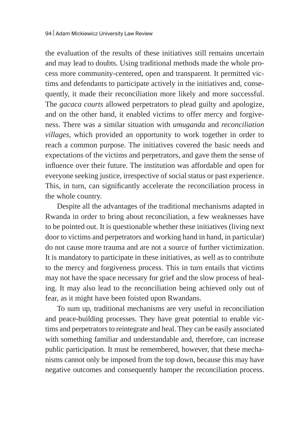the evaluation of the results of these initiatives still remains uncertain and may lead to doubts. Using traditional methods made the whole process more community-centered, open and transparent. It permitted victims and defendants to participate actively in the initiatives and, consequently, it made their reconciliation more likely and more successful. The *gacaca courts* allowed perpetrators to plead guilty and apologize, and on the other hand, it enabled victims to offer mercy and forgiveness. There was a similar situation with *umuganda* and *reconciliation villages*, which provided an opportunity to work together in order to reach a common purpose. The initiatives covered the basic needs and expectations of the victims and perpetrators, and gave them the sense of influence over their future. The institution was affordable and open for everyone seeking justice, irrespective of social status or past experience. This, in turn, can significantly accelerate the reconciliation process in the whole country.

Despite all the advantages of the traditional mechanisms adapted in Rwanda in order to bring about reconciliation, a few weaknesses have to be pointed out. It is questionable whether these initiatives (living next door to victims and perpetrators and working hand in hand, in particular) do not cause more trauma and are not a source of further victimization. It is mandatory to participate in these initiatives, as well as to contribute to the mercy and forgiveness process. This in turn entails that victims may not have the space necessary for grief and the slow process of healing. It may also lead to the reconciliation being achieved only out of fear, as it might have been foisted upon Rwandans.

To sum up, traditional mechanisms are very useful in reconciliation and peace-building processes. They have great potential to enable victims and perpetrators to reintegrate and heal. They can be easily associated with something familiar and understandable and, therefore, can increase public participation. It must be remembered, however, that these mechanisms cannot only be imposed from the top down, because this may have negative outcomes and consequently hamper the reconciliation process.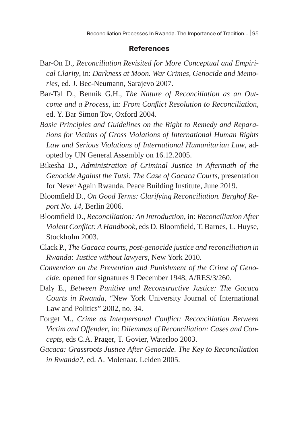#### **References**

- Bar-On D., *Reconciliation Revisited for More Conceptual and Empirical Clarity*, in: *Darkness at Moon. War Crimes, Genocide and Memories*, ed. J. Bec-Neumann, Sarajevo 2007.
- Bar-Tal D., Bennik G.H., *The Nature of Reconciliation as an Outcome and a Process*, in: *From Conflict Resolution to Reconciliation,*  ed. Y. Bar Simon Tov, Oxford 2004.
- *Basic Principles and Guidelines on the Right to Remedy and Reparations for Victims of Gross Violations of International Human Rights Law and Serious Violations of International Humanitarian Law*, adopted by UN General Assembly on 16.12.2005.
- Bikesha D., *Administration of Criminal Justice in Aftermath of the Genocide Against the Tutsi: The Case of Gacaca Courts,* presentation for Never Again Rwanda, Peace Building Institute, June 2019.
- Bloomfield D., *On Good Terms: Clarifying Reconciliation. Berghof Report No. 14*, Berlin 2006.
- Bloomfield D., *Reconciliation: An Introduction*, in: *Reconciliation After Violent Conflict: A Handbook*, eds D. Bloomfield, T. Barnes, L. Huyse, Stockholm 2003.
- Clack P., *The Gacaca courts, post-genocide justice and reconciliation in Rwanda: Justice without lawyers*, New York 2010.
- *Convention on the Prevention and Punishment of the Crime of Genocide*, opened for signatures 9 December 1948, A/RES/3/260.
- Daly E., *Between Punitive and Reconstructive Justice: The Gacaca Courts in Rwanda*, "New York University Journal of International Law and Politics" 2002, no. 34.
- Forget M., *Crime as Interpersonal Conflict: Reconciliation Between Victim and Offender*, in: *Dilemmas of Reconciliation: Cases and Concepts*, eds C.A. Prager, T. Govier, Waterloo 2003.
- *Gacaca: Grassroots Justice After Genocide. The Key to Reconciliation in Rwanda?*, ed. A. Molenaar, Leiden 2005.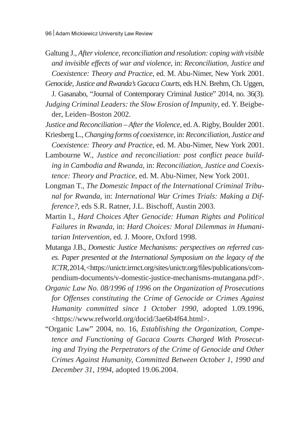Galtung J., *After violence, reconciliation and resolution: coping with visible and invisible effects of war and violence*, in: *Reconciliation, Justice and Coexistence: Theory and Practice*, ed. M. Abu-Nimer, New York 2001. *Genocide, Justice and Rwanda's Gacaca Courts*, eds H.N. Brehm, Ch. Uggen,

J. Gasanabo, "Journal of Contemporary Criminal Justice" 2014, no. 36(3). *Judging Criminal Leaders: the Slow Erosion of Impunity*, ed. Y. Beigbeder, Leiden–Boston 2002.

*Justice and Reconciliation – After the Violence*, ed.A. Rigby, Boulder 2001. Kriesberg L., *Changing forms of coexistence*, in: *Reconciliation, Justice and* 

*Coexistence: Theory and Practice*, ed. M. Abu-Nimer, New York 2001.

Lambourne W., *Justice and reconciliation: post conflict peace building in Cambodia and Rwanda*, in: *Reconciliation, Justice and Coexistence: Theory and Practice*, ed. M. Abu-Nimer, New York 2001.

- Longman T., *The Domestic Impact of the International Criminal Tribunal for Rwanda*, in: *International War Crimes Trials: Making a Difference?*, eds S.R. Ratner, J.L. Bischoff, Austin 2003.
- Martin I., *Hard Choices After Genocide: Human Rights and Political Failures in Rwanda*, in: *Hard Choices: Moral Dilemmas in Humanitarian Intervention*, ed. J. Moore, Oxford 1998.
- Mutanga J.B., *Domestic Justice Mechanisms: perspectives on referred cases. Paper presented at the International Symposium on the legacy of the ICTR,*2014, <https://unictr.irmct.org/sites/unictr.org/files/publications/compendium-documents/v-domestic-justice-mechanisms-mutangana.pdf>.
- *Organic Law No. 08/1996 of 1996 on the Organization of Prosecutions for Offenses constituting the Crime of Genocide or Crimes Against Humanity committed since 1 October 1990*, adopted 1.09.1996, <https://www.refworld.org/docid/3ae6b4f64.html>.
- "Organic Law" 2004, no. 16, *Establishing the Organization, Competence and Functioning of Gacaca Courts Charged With Prosecuting and Trying the Perpetrators of the Crime of Genocide and Other Crimes Against Humanity, Committed Between October 1, 1990 and December 31, 1994*, adopted 19.06.2004.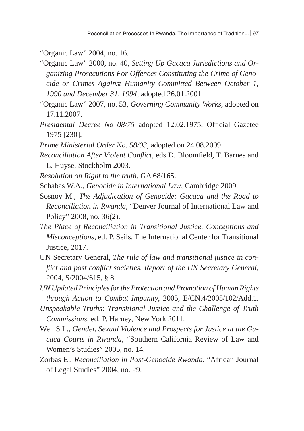"Organic Law" 2004, no. 16.

"Organic Law" 2000, no. 40, *Setting Up Gacaca Jurisdictions and Organizing Prosecutions For Offences Constituting the Crime of Genocide or Crimes Against Humanity Committed Between October 1, 1990 and December 31, 1994*, adopted 26.01.2001

"Organic Law" 2007, no. 53, *Governing Community Works*, adopted on 17.11.2007.

- *Presidental Decree No 08/75* adopted 12.02.1975, Official Gazetee 1975 [230].
- *Prime Ministerial Order No. 58/03*, adopted on 24.08.2009.

*Reconciliation After Violent Conflict*, eds D. Bloomfield, T. Barnes and L. Huyse, Stockholm 2003.

- *Resolution on Right to the truth*, GA 68/165.
- Schabas W.A., *Genocide in International Law*, Cambridge 2009.
- Sosnov M., *The Adjudication of Genocide: Gacaca and the Road to Reconciliation in Rwanda*, "Denver Journal of International Law and Policy" 2008, no. 36(2).
- *The Place of Reconciliation in Transitional Justice. Conceptions and Misconceptions*, ed. P. Seils, The International Center for Transitional Justice, 2017.

UN Secretary General, *The rule of law and transitional justice in conflict and post conflict societies. Report of the UN Secretary General*, 2004, S/2004/615, § 8.

*UN Updated Principles for the Protection and Promotion of Human Rights through Action to Combat Impunity*, 2005, E/CN.4/2005/102/Add.1.

*Unspeakable Truths: Transitional Justice and the Challenge of Truth Commissions*, ed. P. Harney, New York 2011.

- Well S.L., *Gender, Sexual Violence and Prospects for Justice at the Gacaca Courts in Rwanda*, "Southern California Review of Law and Women's Studies" 2005, no. 14.
- Zorbas E., *Reconciliation in Post-Genocide Rwanda*, "African Journal of Legal Studies" 2004, no. 29.